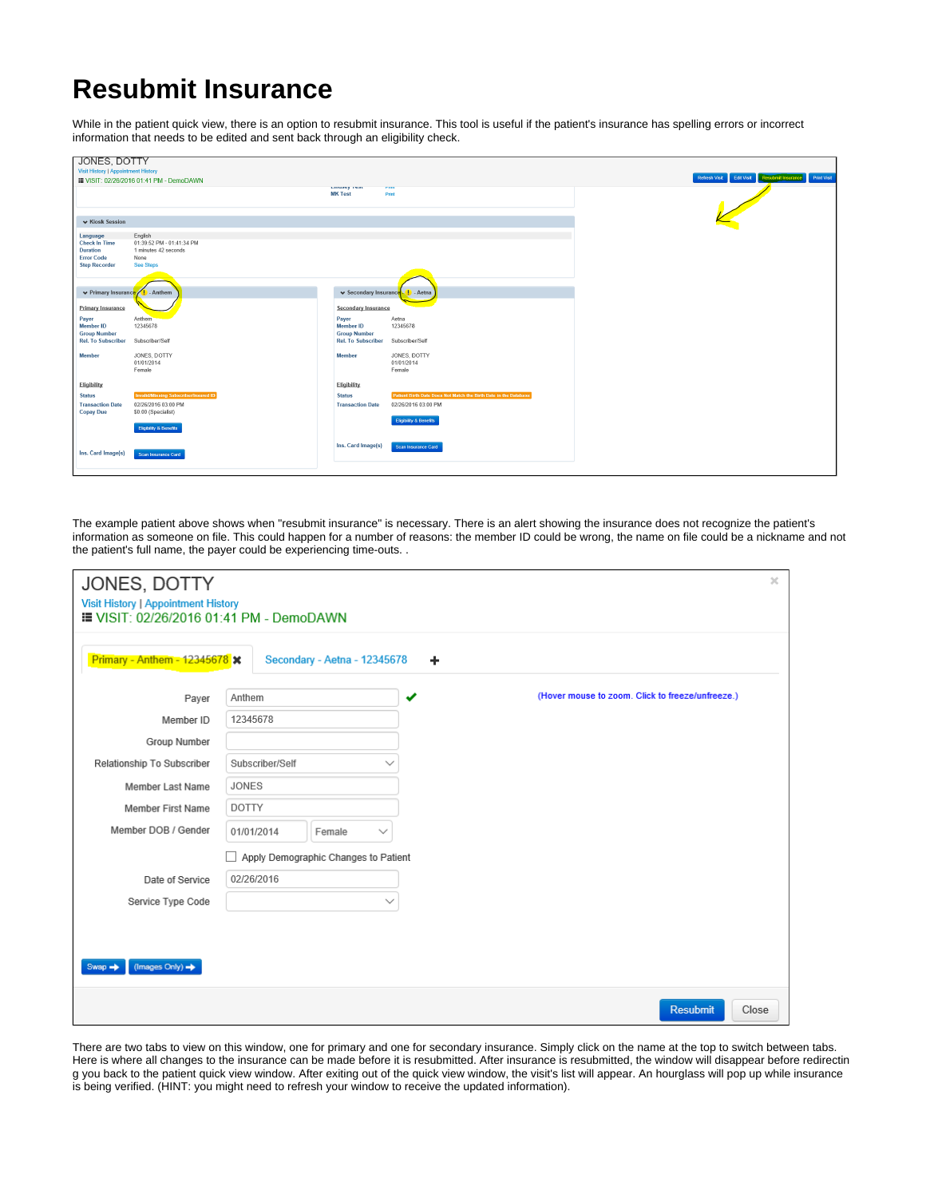## **Resubmit Insurance**

While in the patient quick view, there is an option to resubmit insurance. This tool is useful if the patient's insurance has spelling errors or incorrect information that needs to be edited and sent back through an eligibility check.

| <b>Visit History   Appointment History</b><br><b>III VISIT: 02/26/2016 01:41 PM - DemoDAWN</b><br><b>Linuacy</b> reac<br><b>THIR</b><br><b>MK Test</b><br>Print<br>↓ Kiosk Session<br>English<br>Language | Refresh Visit Edit Visit Resubmit Insurance |
|-----------------------------------------------------------------------------------------------------------------------------------------------------------------------------------------------------------|---------------------------------------------|
|                                                                                                                                                                                                           |                                             |
|                                                                                                                                                                                                           |                                             |
|                                                                                                                                                                                                           |                                             |
|                                                                                                                                                                                                           |                                             |
|                                                                                                                                                                                                           |                                             |
|                                                                                                                                                                                                           |                                             |
|                                                                                                                                                                                                           |                                             |
| <b>Check In Time</b><br>01:39:52 PM - 01:41:34 PM                                                                                                                                                         |                                             |
| 1 minutes 42 seconds<br>Duration                                                                                                                                                                          |                                             |
| <b>Error Code</b><br>None<br><b>See Steps</b><br><b>Step Recorder</b>                                                                                                                                     |                                             |
|                                                                                                                                                                                                           |                                             |
|                                                                                                                                                                                                           |                                             |
| $\vee$ Primary Insurance $\sqrt{1}$ - Anthem<br>V Secondary Insurance       Aetna                                                                                                                         |                                             |
|                                                                                                                                                                                                           |                                             |
| <b>Primary Insurance</b><br><b>Secondary Insurance</b>                                                                                                                                                    |                                             |
| Anthem<br>Payer<br>Payer<br>Aetna                                                                                                                                                                         |                                             |
| Member ID<br>12345678<br>12345678<br>Member ID                                                                                                                                                            |                                             |
| <b>Group Number</b><br><b>Group Number</b>                                                                                                                                                                |                                             |
| <b>Rel. To Subscriber</b><br><b>Rel. To Subscriber</b><br>Subscriber/Self<br>Subscriber/Self                                                                                                              |                                             |
| JONES, DOTTY<br>JONES, DOTTY<br><b>Member</b><br><b>Member</b>                                                                                                                                            |                                             |
| 01/01/2014<br>01/01/2014                                                                                                                                                                                  |                                             |
| Female<br>Female                                                                                                                                                                                          |                                             |
| Eligibility<br>Eligibility                                                                                                                                                                                |                                             |
| <b>Invalid/Missing Subscriber/Insured ID</b><br>Patient Birth Date Does Not Match the Birth Date in the Database<br><b>Status</b><br><b>Status</b>                                                        |                                             |
| <b>Transaction Date</b><br>02/26/2016 03:00 PM<br>02/26/2016 03:00 PM<br><b>Transaction Date</b>                                                                                                          |                                             |
| \$0.00 (Specialist)<br><b>Copay Due</b>                                                                                                                                                                   |                                             |
| <b>Eligibility &amp; Benefits</b>                                                                                                                                                                         |                                             |
| <b>Eligibility &amp; Benefits</b>                                                                                                                                                                         |                                             |
|                                                                                                                                                                                                           |                                             |
| Ins. Card Image(s)<br>Scan Insurance Card<br>Ins. Card Image(s)                                                                                                                                           |                                             |
| Scan Insurance Card                                                                                                                                                                                       |                                             |
|                                                                                                                                                                                                           |                                             |

The example patient above shows when "resubmit insurance" is necessary. There is an alert showing the insurance does not recognize the patient's information as someone on file. This could happen for a number of reasons: the member ID could be wrong, the name on file could be a nickname and not the patient's full name, the payer could be experiencing time-outs. .

| JONES, DOTTY<br><b>Visit History   Appointment History</b><br><b>■ VISIT: 02/26/2016 01:41 PM - DemoDAWN</b> |                 |  |                                      |              |   |  |  |  | $\mathcal{H}$ |  |                                                  |  |       |
|--------------------------------------------------------------------------------------------------------------|-----------------|--|--------------------------------------|--------------|---|--|--|--|---------------|--|--------------------------------------------------|--|-------|
| <b>Primary - Anthem - 12345678 x</b>                                                                         |                 |  | Secondary - Aetna - 12345678         |              | ÷ |  |  |  |               |  |                                                  |  |       |
| Payer                                                                                                        | Anthem          |  |                                      |              | J |  |  |  |               |  | (Hover mouse to zoom. Click to freeze/unfreeze.) |  |       |
| Member ID                                                                                                    | 12345678        |  |                                      |              |   |  |  |  |               |  |                                                  |  |       |
| Group Number                                                                                                 |                 |  |                                      |              |   |  |  |  |               |  |                                                  |  |       |
| Relationship To Subscriber                                                                                   | Subscriber/Self |  |                                      |              |   |  |  |  |               |  |                                                  |  |       |
| Member Last Name                                                                                             | <b>JONES</b>    |  |                                      |              |   |  |  |  |               |  |                                                  |  |       |
| Member First Name                                                                                            | <b>DOTTY</b>    |  |                                      |              |   |  |  |  |               |  |                                                  |  |       |
| Member DOB / Gender                                                                                          | 01/01/2014      |  | Female                               | $\checkmark$ |   |  |  |  |               |  |                                                  |  |       |
|                                                                                                              |                 |  | Apply Demographic Changes to Patient |              |   |  |  |  |               |  |                                                  |  |       |
| Date of Service                                                                                              | 02/26/2016      |  |                                      |              |   |  |  |  |               |  |                                                  |  |       |
| Service Type Code                                                                                            |                 |  |                                      | $\checkmark$ |   |  |  |  |               |  |                                                  |  |       |
|                                                                                                              |                 |  |                                      |              |   |  |  |  |               |  |                                                  |  |       |
|                                                                                                              |                 |  |                                      |              |   |  |  |  |               |  |                                                  |  |       |
| (Images Only) ><br>$Swap \rightarrow$                                                                        |                 |  |                                      |              |   |  |  |  |               |  |                                                  |  |       |
|                                                                                                              |                 |  |                                      |              |   |  |  |  |               |  | <b>Resubmit</b>                                  |  | Close |

There are two tabs to view on this window, one for primary and one for secondary insurance. Simply click on the name at the top to switch between tabs. Here is where all changes to the insurance can be made before it is resubmitted. After insurance is resubmitted, the window will disappear before redirectin g you back to the patient quick view window. After exiting out of the quick view window, the visit's list will appear. An hourglass will pop up while insurance is being verified. (HINT: you might need to refresh your window to receive the updated information).